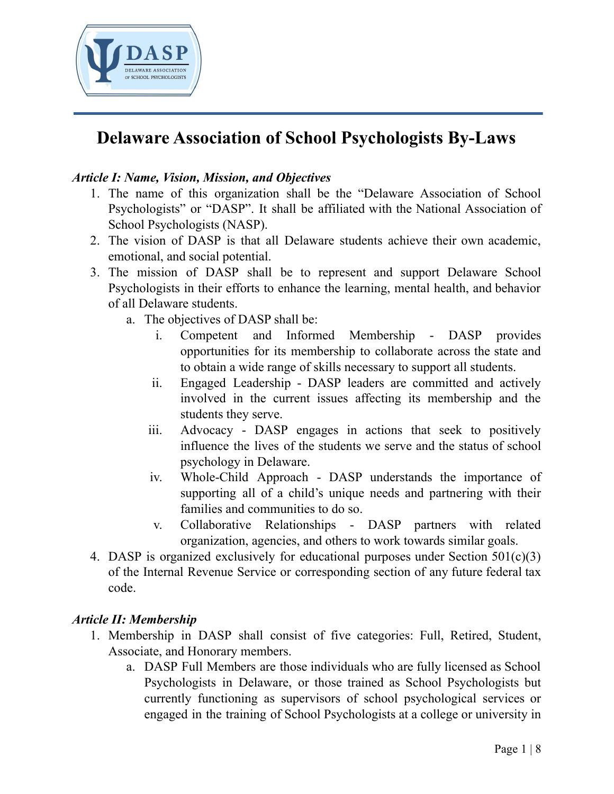

### *Article I: Name, Vision, Mission, and Objectives*

- 1. The name of this organization shall be the "Delaware Association of School Psychologists" or "DASP". It shall be affiliated with the National Association of School Psychologists (NASP).
- 2. The vision of DASP is that all Delaware students achieve their own academic, emotional, and social potential.
- 3. The mission of DASP shall be to represent and support Delaware School Psychologists in their efforts to enhance the learning, mental health, and behavior of all Delaware students.
	- a. The objectives of DASP shall be:
		- i. Competent and Informed Membership DASP provides opportunities for its membership to collaborate across the state and to obtain a wide range of skills necessary to support all students.
		- ii. Engaged Leadership DASP leaders are committed and actively involved in the current issues affecting its membership and the students they serve.
		- iii. Advocacy DASP engages in actions that seek to positively influence the lives of the students we serve and the status of school psychology in Delaware.
		- iv. Whole-Child Approach DASP understands the importance of supporting all of a child's unique needs and partnering with their families and communities to do so.
		- v. Collaborative Relationships DASP partners with related organization, agencies, and others to work towards similar goals.
- 4. DASP is organized exclusively for educational purposes under Section 501(c)(3) of the Internal Revenue Service or corresponding section of any future federal tax code.

#### *Article II: Membership*

- 1. Membership in DASP shall consist of five categories: Full, Retired, Student, Associate, and Honorary members.
	- a. DASP Full Members are those individuals who are fully licensed as School Psychologists in Delaware, or those trained as School Psychologists but currently functioning as supervisors of school psychological services or engaged in the training of School Psychologists at a college or university in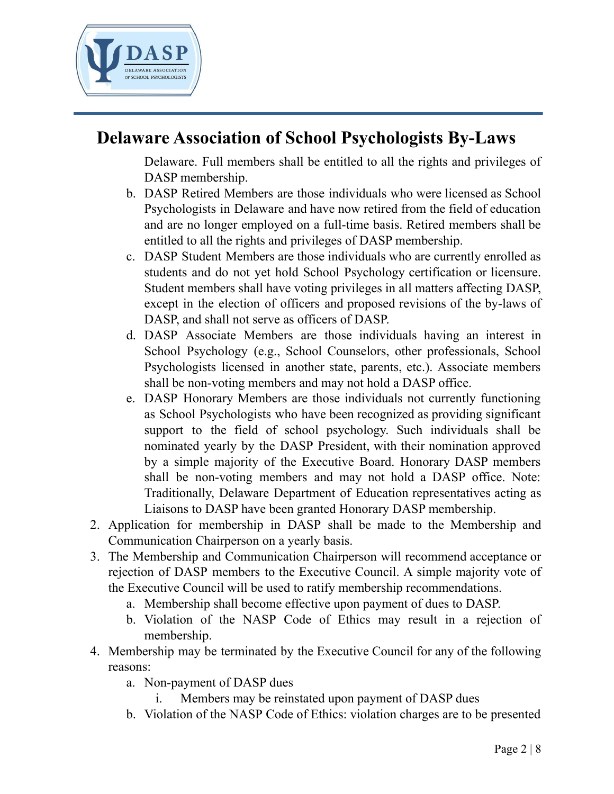

Delaware. Full members shall be entitled to all the rights and privileges of DASP membership.

- b. DASP Retired Members are those individuals who were licensed as School Psychologists in Delaware and have now retired from the field of education and are no longer employed on a full-time basis. Retired members shall be entitled to all the rights and privileges of DASP membership.
- c. DASP Student Members are those individuals who are currently enrolled as students and do not yet hold School Psychology certification or licensure. Student members shall have voting privileges in all matters affecting DASP, except in the election of officers and proposed revisions of the by-laws of DASP, and shall not serve as officers of DASP.
- d. DASP Associate Members are those individuals having an interest in School Psychology (e.g., School Counselors, other professionals, School Psychologists licensed in another state, parents, etc.). Associate members shall be non-voting members and may not hold a DASP office.
- e. DASP Honorary Members are those individuals not currently functioning as School Psychologists who have been recognized as providing significant support to the field of school psychology. Such individuals shall be nominated yearly by the DASP President, with their nomination approved by a simple majority of the Executive Board. Honorary DASP members shall be non-voting members and may not hold a DASP office. Note: Traditionally, Delaware Department of Education representatives acting as Liaisons to DASP have been granted Honorary DASP membership.
- 2. Application for membership in DASP shall be made to the Membership and Communication Chairperson on a yearly basis.
- 3. The Membership and Communication Chairperson will recommend acceptance or rejection of DASP members to the Executive Council. A simple majority vote of the Executive Council will be used to ratify membership recommendations.
	- a. Membership shall become effective upon payment of dues to DASP.
	- b. Violation of the NASP Code of Ethics may result in a rejection of membership.
- 4. Membership may be terminated by the Executive Council for any of the following reasons:
	- a. Non-payment of DASP dues
		- i. Members may be reinstated upon payment of DASP dues
	- b. Violation of the NASP Code of Ethics: violation charges are to be presented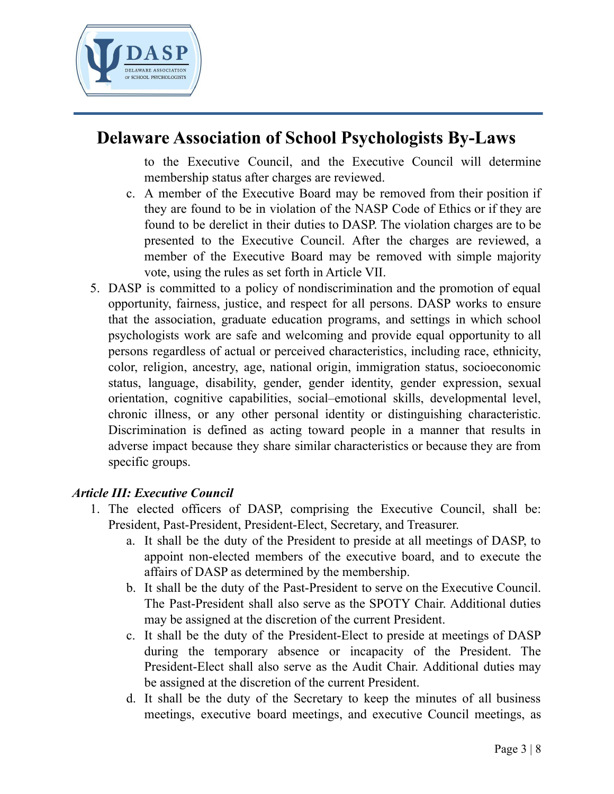

to the Executive Council, and the Executive Council will determine membership status after charges are reviewed.

- c. A member of the Executive Board may be removed from their position if they are found to be in violation of the NASP Code of Ethics or if they are found to be derelict in their duties to DASP. The violation charges are to be presented to the Executive Council. After the charges are reviewed, a member of the Executive Board may be removed with simple majority vote, using the rules as set forth in Article VII.
- 5. DASP is committed to a policy of nondiscrimination and the promotion of equal opportunity, fairness, justice, and respect for all persons. DASP works to ensure that the association, graduate education programs, and settings in which school psychologists work are safe and welcoming and provide equal opportunity to all persons regardless of actual or perceived characteristics, including race, ethnicity, color, religion, ancestry, age, national origin, immigration status, socioeconomic status, language, disability, gender, gender identity, gender expression, sexual orientation, cognitive capabilities, social–emotional skills, developmental level, chronic illness, or any other personal identity or distinguishing characteristic. Discrimination is defined as acting toward people in a manner that results in adverse impact because they share similar characteristics or because they are from specific groups.

### *Article III: Executive Council*

- 1. The elected officers of DASP, comprising the Executive Council, shall be: President, Past-President, President-Elect, Secretary, and Treasurer.
	- a. It shall be the duty of the President to preside at all meetings of DASP, to appoint non-elected members of the executive board, and to execute the affairs of DASP as determined by the membership.
	- b. It shall be the duty of the Past-President to serve on the Executive Council. The Past-President shall also serve as the SPOTY Chair. Additional duties may be assigned at the discretion of the current President.
	- c. It shall be the duty of the President-Elect to preside at meetings of DASP during the temporary absence or incapacity of the President. The President-Elect shall also serve as the Audit Chair. Additional duties may be assigned at the discretion of the current President.
	- d. It shall be the duty of the Secretary to keep the minutes of all business meetings, executive board meetings, and executive Council meetings, as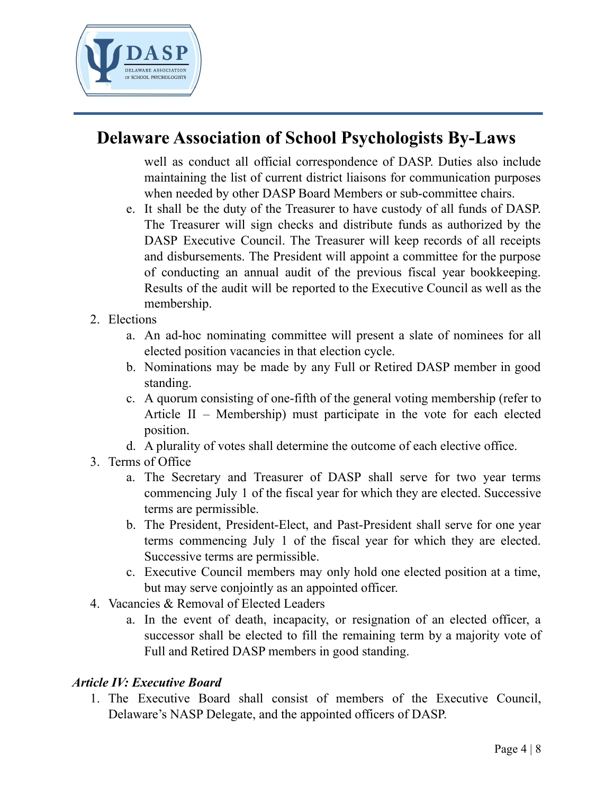

well as conduct all official correspondence of DASP. Duties also include maintaining the list of current district liaisons for communication purposes when needed by other DASP Board Members or sub-committee chairs.

- e. It shall be the duty of the Treasurer to have custody of all funds of DASP. The Treasurer will sign checks and distribute funds as authorized by the DASP Executive Council. The Treasurer will keep records of all receipts and disbursements. The President will appoint a committee for the purpose of conducting an annual audit of the previous fiscal year bookkeeping. Results of the audit will be reported to the Executive Council as well as the membership.
- 2. Elections
	- a. An ad-hoc nominating committee will present a slate of nominees for all elected position vacancies in that election cycle.
	- b. Nominations may be made by any Full or Retired DASP member in good standing.
	- c. A quorum consisting of one-fifth of the general voting membership (refer to Article II – Membership) must participate in the vote for each elected position.
	- d. A plurality of votes shall determine the outcome of each elective office.
- 3. Terms of Office
	- a. The Secretary and Treasurer of DASP shall serve for two year terms commencing July 1 of the fiscal year for which they are elected. Successive terms are permissible.
	- b. The President, President-Elect, and Past-President shall serve for one year terms commencing July 1 of the fiscal year for which they are elected. Successive terms are permissible.
	- c. Executive Council members may only hold one elected position at a time, but may serve conjointly as an appointed officer.
- 4. Vacancies & Removal of Elected Leaders
	- a. In the event of death, incapacity, or resignation of an elected officer, a successor shall be elected to fill the remaining term by a majority vote of Full and Retired DASP members in good standing.

#### *Article IV: Executive Board*

1. The Executive Board shall consist of members of the Executive Council, Delaware's NASP Delegate, and the appointed officers of DASP.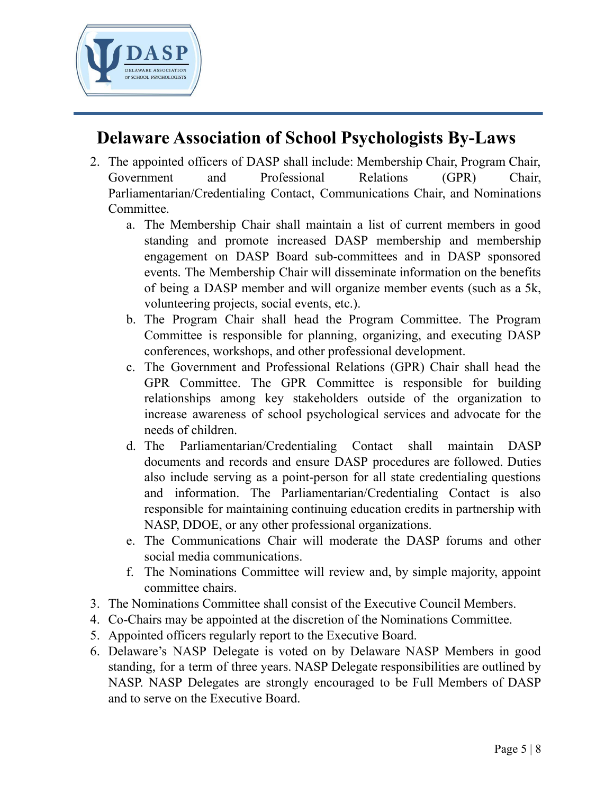

- 2. The appointed officers of DASP shall include: Membership Chair, Program Chair, Government and Professional Relations (GPR) Chair, Parliamentarian/Credentialing Contact, Communications Chair, and Nominations Committee.
	- a. The Membership Chair shall maintain a list of current members in good standing and promote increased DASP membership and membership engagement on DASP Board sub-committees and in DASP sponsored events. The Membership Chair will disseminate information on the benefits of being a DASP member and will organize member events (such as a 5k, volunteering projects, social events, etc.).
	- b. The Program Chair shall head the Program Committee. The Program Committee is responsible for planning, organizing, and executing DASP conferences, workshops, and other professional development.
	- c. The Government and Professional Relations (GPR) Chair shall head the GPR Committee. The GPR Committee is responsible for building relationships among key stakeholders outside of the organization to increase awareness of school psychological services and advocate for the needs of children.
	- d. The Parliamentarian/Credentialing Contact shall maintain DASP documents and records and ensure DASP procedures are followed. Duties also include serving as a point-person for all state credentialing questions and information. The Parliamentarian/Credentialing Contact is also responsible for maintaining continuing education credits in partnership with NASP, DDOE, or any other professional organizations.
	- e. The Communications Chair will moderate the DASP forums and other social media communications.
	- f. The Nominations Committee will review and, by simple majority, appoint committee chairs.
- 3. The Nominations Committee shall consist of the Executive Council Members.
- 4. Co-Chairs may be appointed at the discretion of the Nominations Committee.
- 5. Appointed officers regularly report to the Executive Board.
- 6. Delaware's NASP Delegate is voted on by Delaware NASP Members in good standing, for a term of three years. NASP Delegate responsibilities are outlined by NASP. NASP Delegates are strongly encouraged to be Full Members of DASP and to serve on the Executive Board.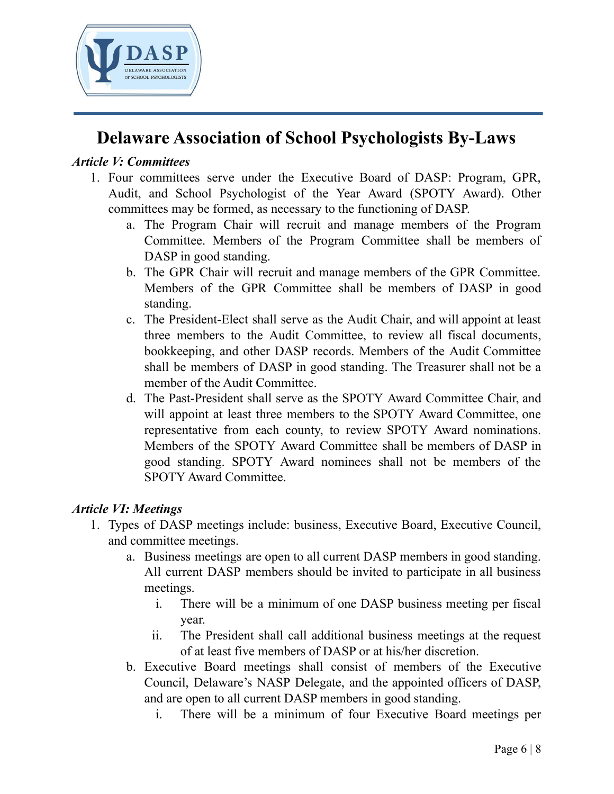

#### *Article V: Committees*

- 1. Four committees serve under the Executive Board of DASP: Program, GPR, Audit, and School Psychologist of the Year Award (SPOTY Award). Other committees may be formed, as necessary to the functioning of DASP.
	- a. The Program Chair will recruit and manage members of the Program Committee. Members of the Program Committee shall be members of DASP in good standing.
	- b. The GPR Chair will recruit and manage members of the GPR Committee. Members of the GPR Committee shall be members of DASP in good standing.
	- c. The President-Elect shall serve as the Audit Chair, and will appoint at least three members to the Audit Committee, to review all fiscal documents, bookkeeping, and other DASP records. Members of the Audit Committee shall be members of DASP in good standing. The Treasurer shall not be a member of the Audit Committee.
	- d. The Past-President shall serve as the SPOTY Award Committee Chair, and will appoint at least three members to the SPOTY Award Committee, one representative from each county, to review SPOTY Award nominations. Members of the SPOTY Award Committee shall be members of DASP in good standing. SPOTY Award nominees shall not be members of the SPOTY Award Committee.

#### *Article VI: Meetings*

- 1. Types of DASP meetings include: business, Executive Board, Executive Council, and committee meetings.
	- a. Business meetings are open to all current DASP members in good standing. All current DASP members should be invited to participate in all business meetings.
		- i. There will be a minimum of one DASP business meeting per fiscal year.
		- ii. The President shall call additional business meetings at the request of at least five members of DASP or at his/her discretion.
	- b. Executive Board meetings shall consist of members of the Executive Council, Delaware's NASP Delegate, and the appointed officers of DASP, and are open to all current DASP members in good standing.
		- i. There will be a minimum of four Executive Board meetings per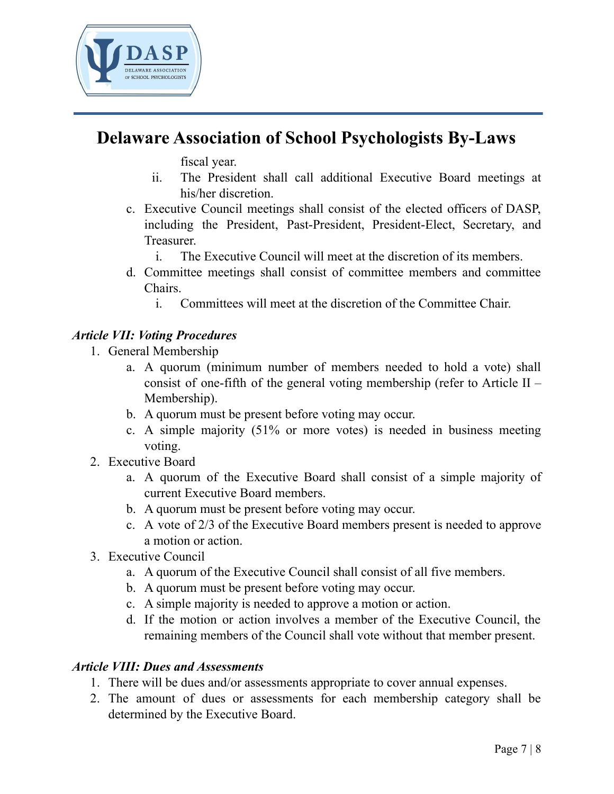

fiscal year.

- ii. The President shall call additional Executive Board meetings at his/her discretion.
- c. Executive Council meetings shall consist of the elected officers of DASP, including the President, Past-President, President-Elect, Secretary, and Treasurer.
	- i. The Executive Council will meet at the discretion of its members.
- d. Committee meetings shall consist of committee members and committee Chairs.
	- i. Committees will meet at the discretion of the Committee Chair.

### *Article VII: Voting Procedures*

- 1. General Membership
	- a. A quorum (minimum number of members needed to hold a vote) shall consist of one-fifth of the general voting membership (refer to Article  $II$  – Membership).
	- b. A quorum must be present before voting may occur.
	- c. A simple majority (51% or more votes) is needed in business meeting voting.
- 2. Executive Board
	- a. A quorum of the Executive Board shall consist of a simple majority of current Executive Board members.
	- b. A quorum must be present before voting may occur.
	- c. A vote of 2/3 of the Executive Board members present is needed to approve a motion or action.
- 3. Executive Council
	- a. A quorum of the Executive Council shall consist of all five members.
	- b. A quorum must be present before voting may occur.
	- c. A simple majority is needed to approve a motion or action.
	- d. If the motion or action involves a member of the Executive Council, the remaining members of the Council shall vote without that member present.

### *Article VIII: Dues and Assessments*

- 1. There will be dues and/or assessments appropriate to cover annual expenses.
- 2. The amount of dues or assessments for each membership category shall be determined by the Executive Board.